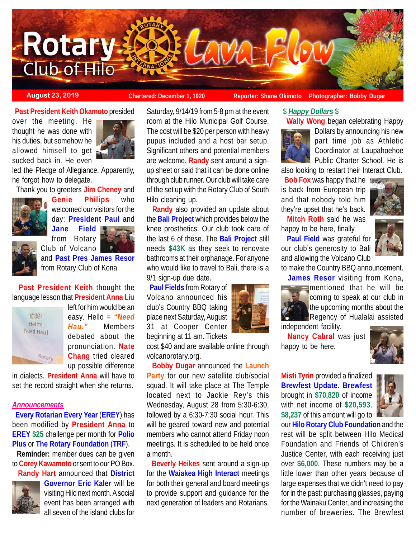

**August 23, 2019 Chartered: December 1, 1920 Reporter: Shane Okimoto** Photographer: Bobby Dugar

**Past President Keith Okamoto** presided

over the meeting. He thought he was done with his duties, but somehow he allowed himself to get sucked back in. He even



led the Pledge of Allegiance. Apparently, he forgot how to delegate.

Thank you to greeters **Jim Cheney** and



**Genie Philips** who welcomed our visitors for the day: **President Paul** and **Jane Field**

from Rotary



and **Past Pres James Resor** from Rotary Club of Kona.

 **Past President Keith** thought the language lesson that **President Anna Liu**



left for him would be an easy. Hello = *"Need Hau."* Members debated about the pronunciation. **Nate Chang** tried cleared up possible difference

in dialects. **President Anna** will have to set the record straight when she returns.

## *Announcements*

 **Every Rotarian Every Year** (**EREY**) has been modified by **President Anna** to **EREY \$25** challenge per month for **Polio Plus** or **The Rotary Foundation** (**TRF**).

 **Reminder:** member dues can be given to **Corey Kawamoto** or sent to our PO Box.



 **Randy Hart** announced that **District Governor Eric Kaler** will be visiting Hilo next month. A social event has been arranged with all seven of the island clubs for

Saturday, 9/14/19 from 5-8 pm at the event room at the Hilo Municipal Golf Course. The cost will be \$20 per person with heavy pupus included and a host bar setup. Significant others and potential members are welcome. **Randy** sent around a signup sheet or said that it can be done online through club runner. Our club will take care of the set up with the Rotary Club of South Hilo cleaning up.

 **Randy** also provided an update about the **Bali Project** which provides below the knee prosthetics. Our club took care of the last 6 of these. The **Bali Project** still needs **\$43K** as they seek to renovate bathrooms at their orphanage. For anyone who would like to travel to Bali, there is a 9/1 sign-up due date.

 **Paul Fields** from Rotary of Volcano announced his club's Country BBQ taking place next Saturday, August 31 at Cooper Center beginning at 11 am. Tickets

cost \$40 and are available online through volcanorotary.org.

 **Bobby Dugar** announced the **Launch Party** for our new satellite club/social squad. It will take place at The Temple located next to Jackie Rey's this Wednesday, August 28 from 5:30-6:30, followed by a 6:30-7:30 social hour. This will be geared toward new and potential members who cannot attend Friday noon meetings. It is scheduled to be held once a month.

 **Beverly Heikes** sent around a sign-up for the **Waiakea High Interact** meetings for both their general and board meetings to provide support and guidance for the next generation of leaders and Rotarians.



 **Wally Wong** began celebrating Happy Dollars by announcing his new part time job as Athletic Coordinator at Laupahoehoe Public Charter School. He is

also looking to restart their Interact Club.

 **Bob Fox** was happy that he is back from European trip and that nobody told him they're upset that he's back.



 **Mitch Roth** said he was happy to be here, finally.

 **Paul Field** was grateful for our club's generosity to Bali and allowing the Volcano Club



to make the Country BBQ announcement. **James Resor** visiting from Kona,



mentioned that he will be coming to speak at our club in the upcoming months about the Regency of Hualalai assisted

independent facility.

 **Nancy Cabral** was just happy to be here.



**Misti Tyrin** provided a finalized **Brewfest Update**. **Brewfest** brought in **\$70,820** of income with net income of **\$20,593**. **\$8,237** of this amount will go to



our **Hilo Rotary Club Foundation** and the rest will be split between Hilo Medical Foundation and Friends of Children's Justice Center, with each receiving just over **\$6,000**. These numbers may be a little lower than other years because of large expenses that we didn't need to pay for in the past: purchasing glasses, paying for the Wainaku Center, and increasing the number of breweries. The Brewfest